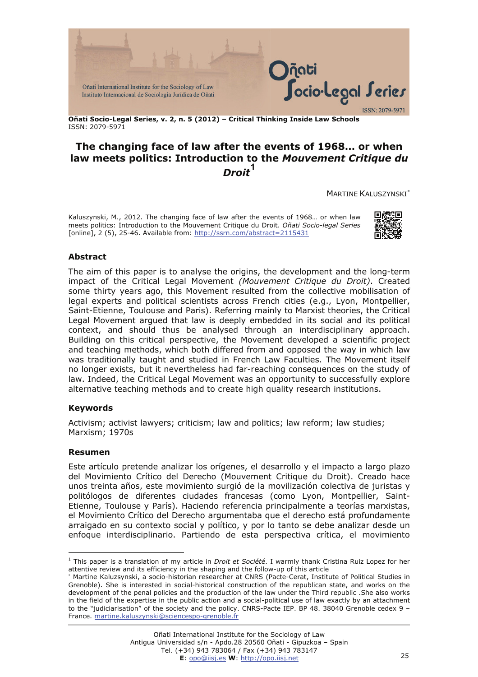

**Oñati Socio-Legal Series, v. 2, n. 5 (2012) – Critical Thinking Inside Law Schools**  ISSN: 2079-5971

# **The changing face of law after the events of 1968… or when law meets politics: Introduction to the** *Mouvement Critique du*   $\bm{D}$ roit<sup>[1](#page-0-0)</sup>

MARTINE KALUSZYNSKI[∗](#page-0-1)

Kaluszynski, M., 2012. The changing face of law after the events of 1968… or when law meets politics: Introduction to the Mouvement Critique du Droit. *Oñati Socio-legal Series* [online], 2 (5), 25-46. Available from:<http://ssrn.com/abstract=2115431>



### **Abstract**

The aim of this paper is to analyse the origins, the development and the long-term impact of the Critical Legal Movement *(Mouvement Critique du Droit)*. Created some thirty years ago, this Movement resulted from the collective mobilisation of legal experts and political scientists across French cities (e.g., Lyon, Montpellier, Saint-Etienne, Toulouse and Paris). Referring mainly to Marxist theories, the Critical Legal Movement argued that law is deeply embedded in its social and its political context, and should thus be analysed through an interdisciplinary approach. Building on this critical perspective, the Movement developed a scientific project and teaching methods, which both differed from and opposed the way in which law was traditionally taught and studied in French Law Faculties. The Movement itself no longer exists, but it nevertheless had far-reaching consequences on the study of law. Indeed, the Critical Legal Movement was an opportunity to successfully explore alternative teaching methods and to create high quality research institutions.

#### **Keywords**

Activism; activist lawyers; criticism; law and politics; law reform; law studies; Marxism; 1970s

#### **Resumen**

 $\overline{a}$ 

Este artículo pretende analizar los orígenes, el desarrollo y el impacto a largo plazo del Movimiento Crítico del Derecho (Mouvement Critique du Droit). Creado hace unos treinta años, este movimiento surgió de la movilización colectiva de juristas y politólogos de diferentes ciudades francesas (como Lyon, Montpellier, Saint-Etienne, Toulouse y París). Haciendo referencia principalmente a teorías marxistas, el Movimiento Crítico del Derecho argumentaba que el derecho está profundamente arraigado en su contexto social y político, y por lo tanto se debe analizar desde un enfoque interdisciplinario. Partiendo de esta perspectiva crítica, el movimiento

<span id="page-0-0"></span><sup>1</sup> This paper is a translation of my article in *Droit et Société*. I warmly thank Cristina Ruiz Lopez for her attentive review and its efficiency in the shaping and the follow-up of this article

<span id="page-0-1"></span><sup>∗</sup> Martine Kaluzsynski, a socio-historian researcher at CNRS (Pacte-Cerat, Institute of Political Studies in Grenoble). She is interested in social-historical construction of the republican state, and works on the development of the penal policies and the production of the law under the Third republic .She also works in the field of the expertise in the public action and a social-political use of law exactly by an attachment to the "judiciarisation" of the society and the policy. CNRS-Pacte IEP. BP 48. 38040 Grenoble cedex 9 -France. [martine.kaluszynski@sciencespo-grenoble.fr](mailto:martine.kaluszynski@sciencespo-grenoble.fr)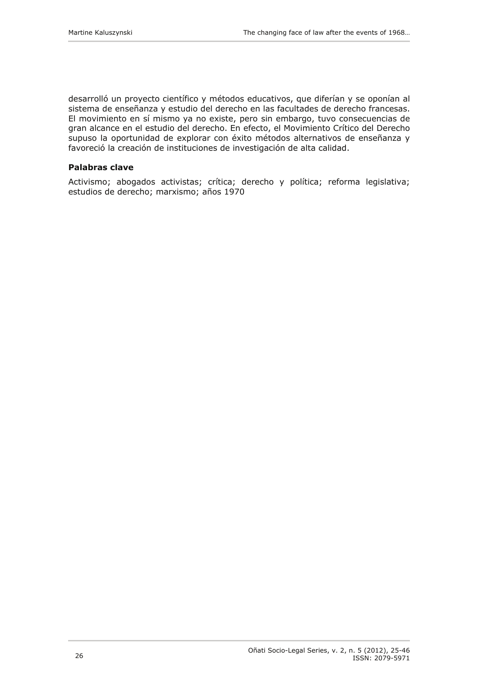desarrolló un proyecto científico y métodos educativos, que diferían y se oponían al sistema de enseñanza y estudio del derecho en las facultades de derecho francesas. El movimiento en sí mismo ya no existe, pero sin embargo, tuvo consecuencias de gran alcance en el estudio del derecho. En efecto, el Movimiento Crítico del Derecho supuso la oportunidad de explorar con éxito métodos alternativos de enseñanza y favoreció la creación de instituciones de investigación de alta calidad.

### **Palabras clave**

Activismo; abogados activistas; crítica; derecho y política; reforma legislativa; estudios de derecho; marxismo; años 1970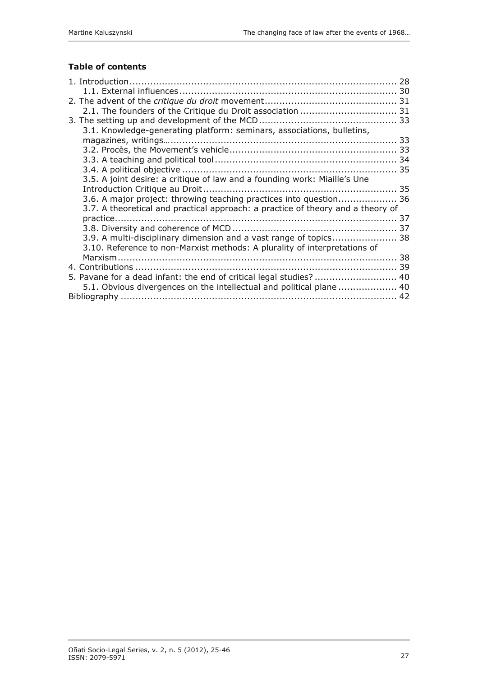## **Table of contents**

| 3.1. Knowledge-generating platform: seminars, associations, bulletins,          |  |
|---------------------------------------------------------------------------------|--|
|                                                                                 |  |
|                                                                                 |  |
|                                                                                 |  |
|                                                                                 |  |
| 3.5. A joint desire: a critique of law and a founding work: Miaille's Une       |  |
|                                                                                 |  |
| 3.6. A major project: throwing teaching practices into question 36              |  |
| 3.7. A theoretical and practical approach: a practice of theory and a theory of |  |
|                                                                                 |  |
|                                                                                 |  |
| 3.9. A multi-disciplinary dimension and a vast range of topics 38               |  |
| 3.10. Reference to non-Marxist methods: A plurality of interpretations of       |  |
|                                                                                 |  |
|                                                                                 |  |
| 5. Pavane for a dead infant: the end of critical legal studies?  40             |  |
| 5.1. Obvious divergences on the intellectual and political plane  40            |  |
|                                                                                 |  |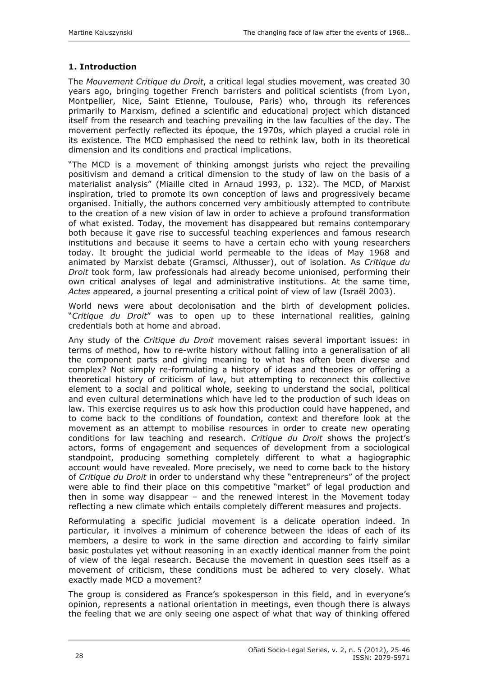### <span id="page-3-0"></span>**1. Introduction**

The *Mouvement Critique du Droit*, a critical legal studies movement, was created 30 years ago, bringing together French barristers and political scientists (from Lyon, Montpellier, Nice, Saint Etienne, Toulouse, Paris) who, through its references primarily to Marxism, defined a scientific and educational project which distanced itself from the research and teaching prevailing in the law faculties of the day. The movement perfectly reflected its époque, the 1970s, which played a crucial role in its existence. The MCD emphasised the need to rethink law, both in its theoretical dimension and its conditions and practical implications.

"The MCD is a movement of thinking amongst jurists who reject the prevailing positivism and demand a critical dimension to the study of law on the basis of a materialist analysis" (Miaille cited in Arnaud 1993, p. 132). The MCD, of Marxist inspiration, tried to promote its own conception of laws and progressively became organised. Initially, the authors concerned very ambitiously attempted to contribute to the creation of a new vision of law in order to achieve a profound transformation of what existed. Today, the movement has disappeared but remains contemporary both because it gave rise to successful teaching experiences and famous research institutions and because it seems to have a certain echo with young researchers today. It brought the judicial world permeable to the ideas of May 1968 and animated by Marxist debate (Gramsci, Althusser), out of isolation. As *Critique du Droit* took form, law professionals had already become unionised, performing their own critical analyses of legal and administrative institutions. At the same time, *Actes* appeared, a journal presenting a critical point of view of law (Israël 2003).

World news were about decolonisation and the birth of development policies. "*Critique du Droit*" was to open up to these international realities, gaining credentials both at home and abroad.

Any study of the *Critique du Droit* movement raises several important issues: in terms of method, how to re-write history without falling into a generalisation of all the component parts and giving meaning to what has often been diverse and complex? Not simply re-formulating a history of ideas and theories or offering a theoretical history of criticism of law, but attempting to reconnect this collective element to a social and political whole, seeking to understand the social, political and even cultural determinations which have led to the production of such ideas on law. This exercise requires us to ask how this production could have happened, and to come back to the conditions of foundation, context and therefore look at the movement as an attempt to mobilise resources in order to create new operating conditions for law teaching and research. *Critique du Droit* shows the project's actors, forms of engagement and sequences of development from a sociological standpoint, producing something completely different to what a hagiographic account would have revealed. More precisely, we need to come back to the history of *Critique du Droit* in order to understand why these "entrepreneurs" of the project were able to find their place on this competitive "market" of legal production and then in some way disappear – and the renewed interest in the Movement today reflecting a new climate which entails completely different measures and projects.

Reformulating a specific judicial movement is a delicate operation indeed. In particular, it involves a minimum of coherence between the ideas of each of its members, a desire to work in the same direction and according to fairly similar basic postulates yet without reasoning in an exactly identical manner from the point of view of the legal research. Because the movement in question sees itself as a movement of criticism, these conditions must be adhered to very closely. What exactly made MCD a movement?

The group is considered as France's spokesperson in this field, and in everyone's opinion, represents a national orientation in meetings, even though there is always the feeling that we are only seeing one aspect of what that way of thinking offered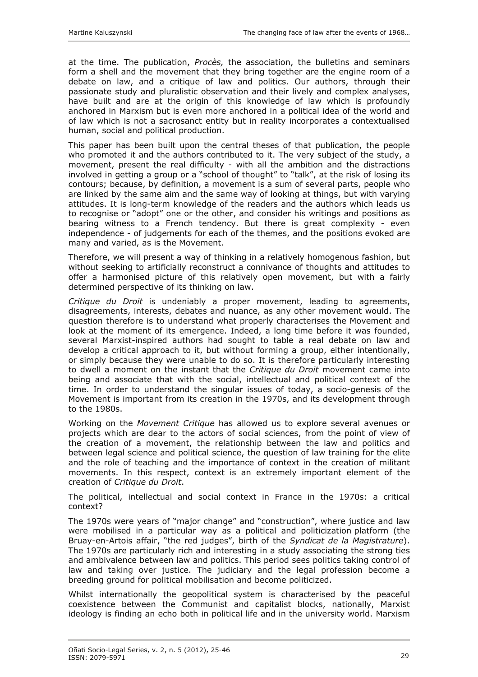at the time. The publication, *Procès,* the association, the bulletins and seminars form a shell and the movement that they bring together are the engine room of a debate on law, and a critique of law and politics. Our authors, through their passionate study and pluralistic observation and their lively and complex analyses, have built and are at the origin of this knowledge of law which is profoundly anchored in Marxism but is even more anchored in a political idea of the world and of law which is not a sacrosanct entity but in reality incorporates a contextualised human, social and political production.

This paper has been built upon the central theses of that publication, the people who promoted it and the authors contributed to it. The very subject of the study, a movement, present the real difficulty - with all the ambition and the distractions involved in getting a group or a "school of thought" to "talk", at the risk of losing its contours; because, by definition, a movement is a sum of several parts, people who are linked by the same aim and the same way of looking at things, but with varying attitudes. It is long-term knowledge of the readers and the authors which leads us to recognise or "adopt" one or the other, and consider his writings and positions as bearing witness to a French tendency. But there is great complexity - even independence - of judgements for each of the themes, and the positions evoked are many and varied, as is the Movement.

Therefore, we will present a way of thinking in a relatively homogenous fashion, but without seeking to artificially reconstruct a connivance of thoughts and attitudes to offer a harmonised picture of this relatively open movement, but with a fairly determined perspective of its thinking on law.

*Critique du Droit* is undeniably a proper movement, leading to agreements, disagreements, interests, debates and nuance, as any other movement would. The question therefore is to understand what properly characterises the Movement and look at the moment of its emergence. Indeed, a long time before it was founded, several Marxist-inspired authors had sought to table a real debate on law and develop a critical approach to it, but without forming a group, either intentionally, or simply because they were unable to do so. It is therefore particularly interesting to dwell a moment on the instant that the *Critique du Droit* movement came into being and associate that with the social, intellectual and political context of the time. In order to understand the singular issues of today, a socio-genesis of the Movement is important from its creation in the 1970s, and its development through to the 1980s.

Working on the *Movement Critique* has allowed us to explore several avenues or projects which are dear to the actors of social sciences, from the point of view of the creation of a movement, the relationship between the law and politics and between legal science and political science, the question of law training for the elite and the role of teaching and the importance of context in the creation of militant movements. In this respect, context is an extremely important element of the creation of *Critique du Droit*.

The political, intellectual and social context in France in the 1970s: a critical context?

The 1970s were years of "major change" and "construction", where justice and law were mobilised in a particular way as a political and politicization platform (the Bruay-en-Artois affair, "the red judges", birth of the *Syndicat de la Magistrature*). The 1970s are particularly rich and interesting in a study associating the strong ties and ambivalence between law and politics. This period sees politics taking control of law and taking over justice. The judiciary and the legal profession become a breeding ground for political mobilisation and become politicized.

Whilst internationally the geopolitical system is characterised by the peaceful coexistence between the Communist and capitalist blocks, nationally, Marxist ideology is finding an echo both in political life and in the university world. Marxism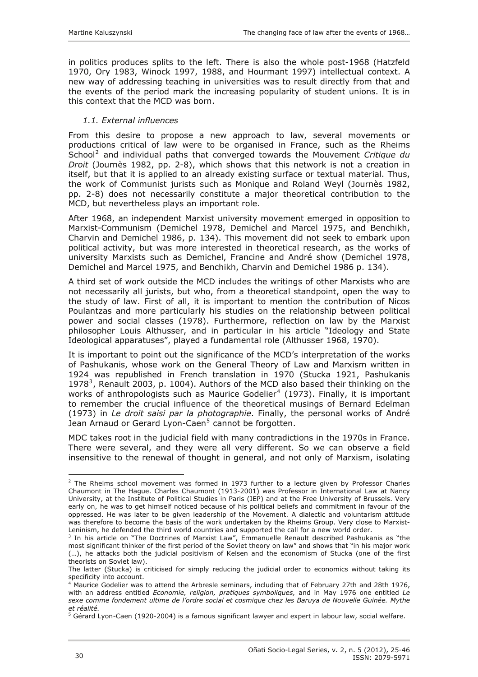<span id="page-5-0"></span>in politics produces splits to the left. There is also the whole post-1968 (Hatzfeld 1970, Ory 1983, Winock 1997, 1988, and Hourmant 1997) intellectual context. A new way of addressing teaching in universities was to result directly from that and the events of the period mark the increasing popularity of student unions. It is in this context that the MCD was born.

#### *1.1. External influences*

From this desire to propose a new approach to law, several movements or productions critical of law were to be organised in France, such as the Rheims School[2](#page-5-1) and individual paths that converged towards the Mouvement *Critique du Droit* (Journès 1982, pp. 2-8), which shows that this network is not a creation in itself, but that it is applied to an already existing surface or textual material. Thus, the work of Communist jurists such as Monique and Roland Weyl (Journès 1982, pp. 2-8) does not necessarily constitute a major theoretical contribution to the MCD, but nevertheless plays an important role.

After 1968, an independent Marxist university movement emerged in opposition to Marxist-Communism (Demichel 1978, Demichel and Marcel 1975, and Benchikh, Charvin and Demichel 1986, p. 134). This movement did not seek to embark upon political activity, but was more interested in theoretical research, as the works of university Marxists such as Demichel, Francine and André show (Demichel 1978, Demichel and Marcel 1975, and Benchikh, Charvin and Demichel 1986 p. 134).

A third set of work outside the MCD includes the writings of other Marxists who are not necessarily all jurists, but who, from a theoretical standpoint, open the way to the study of law. First of all, it is important to mention the contribution of Nicos Poulantzas and more particularly his studies on the relationship between political power and social classes (1978). Furthermore, reflection on law by the Marxist philosopher Louis Althusser, and in particular in his article "Ideology and State Ideological apparatuses", played a fundamental role (Althusser 1968, 1970).

It is important to point out the significance of the MCD's interpretation of the works of Pashukanis, whose work on the General Theory of Law and Marxism written in 1924 was republished in French translation in 1970 (Stucka 1921, Pashukanis 1978<sup>[3](#page-5-2)</sup>, Renault 2003, p. 1004). Authors of the MCD also based their thinking on the works of anthropologists such as Maurice Godelier<sup>[4](#page-5-3)</sup> (1973). Finally, it is important to remember the crucial influence of the theoretical musings of Bernard Edelman (1973) in *Le droit saisi par la photographie*. Finally, the personal works of André Jean Arnaud or Gerard Lyon-Caen<sup>[5](#page-5-4)</sup> cannot be forgotten.

MDC takes root in the judicial field with many contradictions in the 1970s in France. There were several, and they were all very different. So we can observe a field insensitive to the renewal of thought in general, and not only of Marxism, isolating

<span id="page-5-1"></span> $2$  The Rheims school movement was formed in 1973 further to a lecture given by Professor Charles Chaumont in The Hague. Charles Chaumont (1913-2001) was Professor in International Law at Nancy University, at the Institute of Political Studies in Paris (IEP) and at the Free University of Brussels. Very early on, he was to get himself noticed because of his political beliefs and commitment in favour of the oppressed. He was later to be given leadership of the Movement. A dialectic and voluntarism attitude was therefore to become the basis of the work undertaken by the Rheims Group. Very close to Marxist-Leninism, he defended the third world countries and supported the call for a new world order.

<span id="page-5-2"></span> $3$  In his article on "The Doctrines of Marxist Law", Emmanuelle Renault described Pashukanis as "the most significant thinker of the first period of the Soviet theory on law" and shows that "in his major work (…), he attacks both the judicial positivism of Kelsen and the economism of Stucka (one of the first theorists on Soviet law).

The latter (Stucka) is criticised for simply reducing the judicial order to economics without taking its specificity into account.

<span id="page-5-3"></span><sup>4</sup> Maurice Godelier was to attend the Arbresle seminars, including that of February 27th and 28th 1976, with an address entitled *Economie, religion, pratiques symboliques,* and in May 1976 one entitled *Le sexe comme fondement ultime de l'ordre social et cosmique chez les Baruya de Nouvelle Guinée. Mythe et réalité.* 5

<span id="page-5-4"></span> $5$  Gérard Lyon-Caen (1920-2004) is a famous significant lawyer and expert in labour law, social welfare.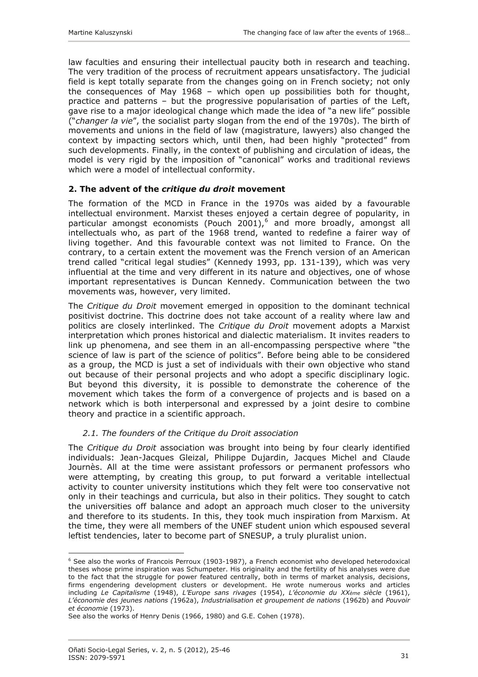<span id="page-6-0"></span>law faculties and ensuring their intellectual paucity both in research and teaching. The very tradition of the process of recruitment appears unsatisfactory. The judicial field is kept totally separate from the changes going on in French society; not only the consequences of May 1968 – which open up possibilities both for thought, practice and patterns – but the progressive popularisation of parties of the Left, gave rise to a major ideological change which made the idea of "a new life" possible ("*changer la vie*", the socialist party slogan from the end of the 1970s). The birth of movements and unions in the field of law (magistrature, lawyers) also changed the context by impacting sectors which, until then, had been highly "protected" from such developments. Finally, in the context of publishing and circulation of ideas, the model is very rigid by the imposition of "canonical" works and traditional reviews which were a model of intellectual conformity.

### **2. The advent of the** *critique du droit* **movement**

The formation of the MCD in France in the 1970s was aided by a favourable intellectual environment. Marxist theses enjoyed a certain degree of popularity, in particular amongst economists (Pouch 2001),<sup>[6](#page-6-1)</sup> and more broadly, amongst all intellectuals who, as part of the 1968 trend, wanted to redefine a fairer way of living together. And this favourable context was not limited to France. On the contrary, to a certain extent the movement was the French version of an American trend called "critical legal studies" (Kennedy 1993, pp. 131-139), which was very influential at the time and very different in its nature and objectives, one of whose important representatives is Duncan Kennedy. Communication between the two movements was, however, very limited.

The *Critique du Droit* movement emerged in opposition to the dominant technical positivist doctrine. This doctrine does not take account of a reality where law and politics are closely interlinked. The *Critique du Droit* movement adopts a Marxist interpretation which prones historical and dialectic materialism. It invites readers to link up phenomena, and see them in an all-encompassing perspective where "the science of law is part of the science of politics". Before being able to be considered as a group, the MCD is just a set of individuals with their own objective who stand out because of their personal projects and who adopt a specific disciplinary logic. But beyond this diversity, it is possible to demonstrate the coherence of the movement which takes the form of a convergence of projects and is based on a network which is both interpersonal and expressed by a joint desire to combine theory and practice in a scientific approach.

### *2.1. The founders of the Critique du Droit association*

The *Critique du Droit* association was brought into being by four clearly identified individuals: Jean-Jacques Gleizal, Philippe Dujardin, Jacques Michel and Claude Journès. All at the time were assistant professors or permanent professors who were attempting, by creating this group, to put forward a veritable intellectual activity to counter university institutions which they felt were too conservative not only in their teachings and curricula, but also in their politics. They sought to catch the universities off balance and adopt an approach much closer to the university and therefore to its students. In this, they took much inspiration from Marxism. At the time, they were all members of the UNEF student union which espoused several leftist tendencies, later to become part of SNESUP, a truly pluralist union.

<span id="page-6-1"></span><sup>&</sup>lt;sup>6</sup> See also the works of Francois Perroux (1903-1987), a French economist who developed heterodoxical theses whose prime inspiration was Schumpeter. His originality and the fertility of his analyses were due to the fact that the struggle for power featured centrally, both in terms of market analysis, decisions, firms engendering development clusters or development. He wrote numerous works and articles including *Le Capitalisme* (1948), *L'Europe sans rivages* (1954), *L'économie du XXème siècle* (1961), *L'économie des jeunes nations (*1962a), *Industrialisation et groupement de nations* (1962b) and *Pouvoir et économie* (1973).

See also the works of Henry Denis (1966, 1980) and G.E. Cohen (1978).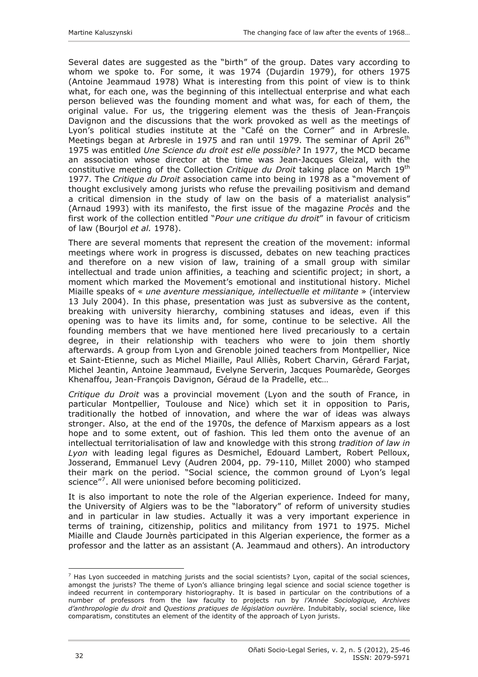Several dates are suggested as the "birth" of the group. Dates vary according to whom we spoke to. For some, it was 1974 (Dujardin 1979), for others 1975 (Antoine Jeammaud 1978) What is interesting from this point of view is to think what, for each one, was the beginning of this intellectual enterprise and what each person believed was the founding moment and what was, for each of them, the original value. For us, the triggering element was the thesis of Jean-François Davignon and the discussions that the work provoked as well as the meetings of Lyon's political studies institute at the "Café on the Corner" and in Arbresle. Meetings began at Arbresle in 1975 and ran until 1979. The seminar of April 26<sup>th</sup> 1975 was entitled *Une Science du droit est elle possible?* In 1977, the MCD became an association whose director at the time was Jean-Jacques Gleizal, with the constitutive meeting of the Collection *Critique du Droit* taking place on March 19th 1977. The *Critique du Droit* association came into being in 1978 as a "movement of thought exclusively among jurists who refuse the prevailing positivism and demand a critical dimension in the study of law on the basis of a materialist analysis" (Arnaud 1993) with its manifesto, the first issue of the magazine *Procès* and the first work of the collection entitled "*Pour une critique du droit*" in favour of criticism of law (Bourjol *et al.* 1978).

There are several moments that represent the creation of the movement: informal meetings where work in progress is discussed, debates on new teaching practices and therefore on a new vision of law, training of a small group with similar intellectual and trade union affinities, a teaching and scientific project; in short, a moment which marked the Movement's emotional and institutional history. Michel Miaille speaks of « *une aventure messianique, intellectuelle et militante* » (interview 13 July 2004). In this phase, presentation was just as subversive as the content, breaking with university hierarchy, combining statuses and ideas, even if this opening was to have its limits and, for some, continue to be selective. All the founding members that we have mentioned here lived precariously to a certain degree, in their relationship with teachers who were to join them shortly afterwards. A group from Lyon and Grenoble joined teachers from Montpellier, Nice et Saint-Etienne, such as Michel Miaille, Paul Alliès, Robert Charvin, Gérard Farjat, Michel Jeantin, Antoine Jeammaud, Evelyne Serverin, Jacques Poumarède, Georges Khenaffou, Jean-François Davignon, Géraud de la Pradelle, etc…

*Critique du Droit* was a provincial movement (Lyon and the south of France, in particular Montpellier, Toulouse and Nice) which set it in opposition to Paris, traditionally the hotbed of innovation, and where the war of ideas was always stronger. Also, at the end of the 1970s, the defence of Marxism appears as a lost hope and to some extent, out of fashion*.* This led them onto the avenue of an intellectual territorialisation of law and knowledge with this strong *tradition of law in Lyon* with leading legal figures as Desmichel, Edouard Lambert, Robert Pelloux, Josserand, Emmanuel Levy (Audren 2004, pp. 79-110, Millet 2000) who stamped their mark on the period. "Social science, the common ground of Lyon's legal science"<sup>[7](#page-7-0)</sup>. All were unionised before becoming politicized.

It is also important to note the role of the Algerian experience. Indeed for many, the University of Algiers was to be the "laboratory" of reform of university studies and in particular in law studies. Actually it was a very important experience in terms of training, citizenship, politics and militancy from 1971 to 1975. Michel Miaille and Claude Journès participated in this Algerian experience, the former as a professor and the latter as an assistant (A. Jeammaud and others). An introductory

<span id="page-7-0"></span> $^7$  Has Lyon succeeded in matching jurists and the social scientists? Lyon, capital of the social sciences, amongst the jurists? The theme of Lyon's alliance bringing legal science and social science together is indeed recurrent in contemporary historiography. It is based in particular on the contributions of a number of professors from the law faculty to projects run by *l'Année Sociologique, Archives d'anthropologie du droit* and *Questions pratiques de législation ouvrière.* Indubitably, social science, like comparatism, constitutes an element of the identity of the approach of Lyon jurists.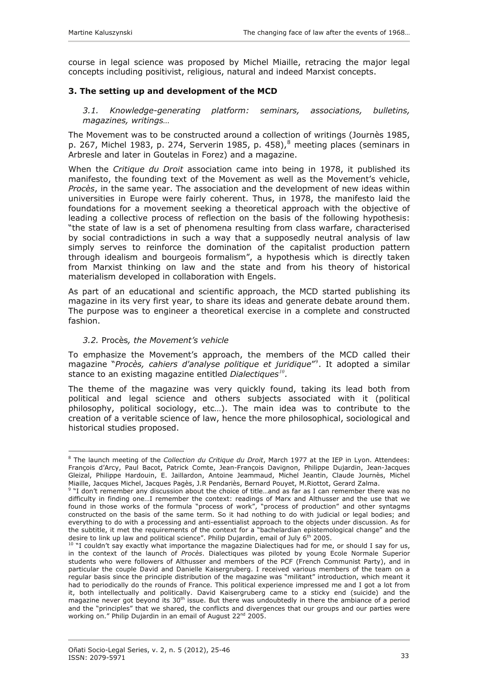<span id="page-8-0"></span>course in legal science was proposed by Michel Miaille, retracing the major legal concepts including positivist, religious, natural and indeed Marxist concepts.

### **3. The setting up and development of the MCD**

*3.1. Knowledge-generating platform: seminars, associations, bulletins, magazines, writings…* 

The Movement was to be constructed around a collection of writings (Journès 1985, p. 267, Michel 19[8](#page-8-1)3, p. 274, Serverin 1985, p. 458), $^8$  meeting places (seminars in Arbresle and later in Goutelas in Forez) and a magazine.

When the *Critique du Droit* association came into being in 1978, it published its manifesto, the founding text of the Movement as well as the Movement's vehicle, *Procès*, in the same year. The association and the development of new ideas within universities in Europe were fairly coherent. Thus, in 1978, the manifesto laid the foundations for a movement seeking a theoretical approach with the objective of leading a collective process of reflection on the basis of the following hypothesis: "the state of law is a set of phenomena resulting from class warfare, characterised by social contradictions in such a way that a supposedly neutral analysis of law simply serves to reinforce the domination of the capitalist production pattern through idealism and bourgeois formalism", a hypothesis which is directly taken from Marxist thinking on law and the state and from his theory of historical materialism developed in collaboration with Engels.

As part of an educational and scientific approach, the MCD started publishing its magazine in its very first year, to share its ideas and generate debate around them. The purpose was to engineer a theoretical exercise in a complete and constructed fashion.

#### *3.2.* Procès*, the Movement's vehicle*

 $\overline{a}$ 

To emphasize the Movement's approach, the members of the MCD called their magazine "*Procès, cahiers d'analyse politique et juridique*"[9](#page-8-2) . It adopted a similar stance to an existing magazine entitled *Dialectiques[10](#page-8-3).* 

The theme of the magazine was very quickly found, taking its lead both from political and legal science and others subjects associated with it (political philosophy, political sociology, etc…). The main idea was to contribute to the creation of a veritable science of law, hence the more philosophical, sociological and historical studies proposed.

<span id="page-8-1"></span><sup>8</sup> The launch meeting of the *Collection du Critique du Droit*, March 1977 at the IEP in Lyon. Attendees: François d'Arcy, Paul Bacot, Patrick Comte, Jean-François Davignon, Philippe Dujardin, Jean-Jacques Gleizal, Philippe Hardouin, E. Jaillardon, Antoine Jeammaud, Michel Jeantin, Claude Journès, Michel Miaille, Jacques Michel, Jacques Pagès, J.R Pendariès, Bernard Pouyet, M.Riottot, Gerard Zalma. 9

<span id="page-8-2"></span><sup>&</sup>quot;I don't remember any discussion about the choice of title...and as far as I can remember there was no difficulty in finding one…I remember the context: readings of Marx and Althusser and the use that we found in those works of the formula "process of work", "process of production" and other syntagms constructed on the basis of the same term. So it had nothing to do with judicial or legal bodies; and everything to do with a processing and anti-essentialist approach to the objects under discussion. As for the subtitle, it met the requirements of the context for a "bachelardian epistemological change" and the desire to link up law and political science". Philip Dujardin, email of July  $6<sup>th</sup>$  2005.

<span id="page-8-3"></span> $10$  "I couldn't say exactly what importance the magazine Dialectiques had for me, or should I say for us, in the context of the launch of *Procès*. Dialectiques was piloted by young Ecole Normale Superior students who were followers of Althusser and members of the PCF (French Communist Party), and in particular the couple David and Danielle Kaisergruberg. I received various members of the team on a regular basis since the principle distribution of the magazine was "militant" introduction, which meant it had to periodically do the rounds of France. This political experience impressed me and I got a lot from it, both intellectually and politically. David Kaisergruberg came to a sticky end (suicide) and the magazine never got beyond its  $30<sup>th</sup>$  issue. But there was undoubtedly in there the ambiance of a period and the "principles" that we shared, the conflicts and divergences that our groups and our parties were working on." Philip Dujardin in an email of August 22<sup>nd</sup> 2005.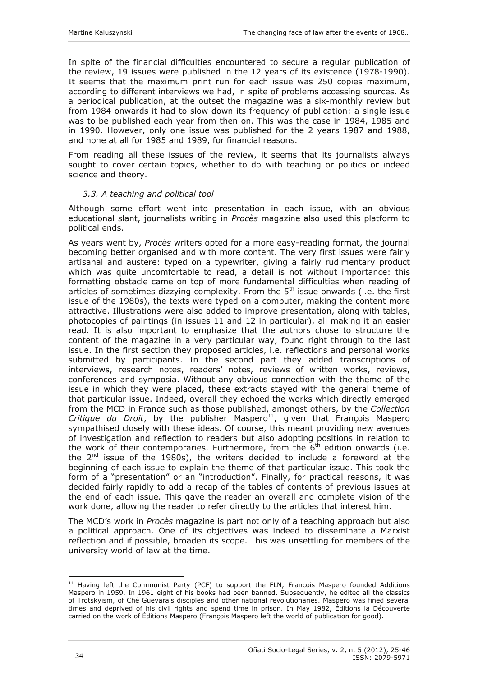<span id="page-9-0"></span>In spite of the financial difficulties encountered to secure a regular publication of the review, 19 issues were published in the 12 years of its existence (1978-1990). It seems that the maximum print run for each issue was 250 copies maximum, according to different interviews we had, in spite of problems accessing sources. As a periodical publication, at the outset the magazine was a six-monthly review but from 1984 onwards it had to slow down its frequency of publication: a single issue was to be published each year from then on. This was the case in 1984, 1985 and in 1990. However, only one issue was published for the 2 years 1987 and 1988, and none at all for 1985 and 1989, for financial reasons.

From reading all these issues of the review, it seems that its journalists always sought to cover certain topics, whether to do with teaching or politics or indeed science and theory.

### *3.3. A teaching and political tool*

Although some effort went into presentation in each issue, with an obvious educational slant, journalists writing in *Procès* magazine also used this platform to political ends.

As years went by, *Procès* writers opted for a more easy-reading format, the journal becoming better organised and with more content. The very first issues were fairly artisanal and austere: typed on a typewriter, giving a fairly rudimentary product which was quite uncomfortable to read, a detail is not without importance: this formatting obstacle came on top of more fundamental difficulties when reading of articles of sometimes dizzying complexity. From the  $5<sup>th</sup>$  issue onwards (i.e. the first issue of the 1980s), the texts were typed on a computer, making the content more attractive. Illustrations were also added to improve presentation, along with tables, photocopies of paintings (in issues 11 and 12 in particular), all making it an easier read. It is also important to emphasize that the authors chose to structure the content of the magazine in a very particular way, found right through to the last issue. In the first section they proposed articles, i.e. reflections and personal works submitted by participants. In the second part they added transcriptions of interviews, research notes, readers' notes, reviews of written works, reviews, conferences and symposia. Without any obvious connection with the theme of the issue in which they were placed, these extracts stayed with the general theme of that particular issue. Indeed, overall they echoed the works which directly emerged from the MCD in France such as those published, amongst others, by the *Collection Critique du Droit*, by the publisher Maspero<sup>[11](#page-9-1)</sup>, given that François Maspero sympathised closely with these ideas. Of course, this meant providing new avenues of investigation and reflection to readers but also adopting positions in relation to the work of their contemporaries. Furthermore, from the  $6<sup>th</sup>$  edition onwards (i.e. the  $2<sup>nd</sup>$  issue of the 1980s), the writers decided to include a foreword at the beginning of each issue to explain the theme of that particular issue. This took the form of a "presentation" or an "introduction". Finally, for practical reasons, it was decided fairly rapidly to add a recap of the tables of contents of previous issues at the end of each issue. This gave the reader an overall and complete vision of the work done, allowing the reader to refer directly to the articles that interest him.

The MCD's work in *Procès* magazine is part not only of a teaching approach but also a political approach. One of its objectives was indeed to disseminate a Marxist reflection and if possible, broaden its scope. This was unsettling for members of the university world of law at the time.

<span id="page-9-1"></span> $\overline{a}$  $11$  Having left the Communist Party (PCF) to support the FLN, Francois Maspero founded Additions Maspero in 1959. In 1961 eight of his books had been banned. Subsequently, he edited all the classics of Trotskyism, of Ché Guevara's disciples and other national revolutionaries. Maspero was fined several times and deprived of his civil rights and spend time in prison. In May 1982, Éditions la Découverte carried on the work of Éditions Maspero (François Maspero left the world of publication for good).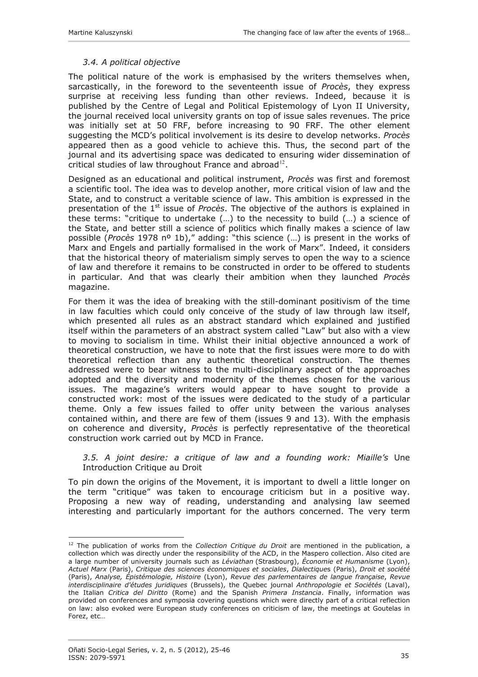### *3.4. A political objective*

<span id="page-10-0"></span>The political nature of the work is emphasised by the writers themselves when, sarcastically, in the foreword to the seventeenth issue of *Procès*, they express surprise at receiving less funding than other reviews. Indeed, because it is published by the Centre of Legal and Political Epistemology of Lyon II University, the journal received local university grants on top of issue sales revenues. The price was initially set at 50 FRF, before increasing to 90 FRF. The other element suggesting the MCD's political involvement is its desire to develop networks. *Procès* appeared then as a good vehicle to achieve this. Thus, the second part of the journal and its advertising space was dedicated to ensuring wider dissemination of critical studies of law throughout France and abroad<sup>[12](#page-10-1)</sup>.

Designed as an educational and political instrument, *Procès* was first and foremost a scientific tool. The idea was to develop another, more critical vision of law and the State, and to construct a veritable science of law. This ambition is expressed in the presentation of the 1<sup>st</sup> issue of *Procès*. The objective of the authors is explained in these terms: "critique to undertake (…) to the necessity to build (…) a science of the State, and better still a science of politics which finally makes a science of law possible (*Procès* 1978 nº 1b)," adding: "this science (…) is present in the works of Marx and Engels and partially formalised in the work of Marx". Indeed, it considers that the historical theory of materialism simply serves to open the way to a science of law and therefore it remains to be constructed in order to be offered to students in particular. And that was clearly their ambition when they launched *Procès* magazine.

For them it was the idea of breaking with the still-dominant positivism of the time in law faculties which could only conceive of the study of law through law itself, which presented all rules as an abstract standard which explained and justified itself within the parameters of an abstract system called "Law" but also with a view to moving to socialism in time. Whilst their initial objective announced a work of theoretical construction, we have to note that the first issues were more to do with theoretical reflection than any authentic theoretical construction. The themes addressed were to bear witness to the multi-disciplinary aspect of the approaches adopted and the diversity and modernity of the themes chosen for the various issues. The magazine's writers would appear to have sought to provide a constructed work: most of the issues were dedicated to the study of a particular theme. Only a few issues failed to offer unity between the various analyses contained within, and there are few of them (issues 9 and 13). With the emphasis on coherence and diversity, *Procès* is perfectly representative of the theoretical construction work carried out by MCD in France.

*3.5. A joint desire: a critique of law and a founding work: Miaille's* Une Introduction Critique au Droit

To pin down the origins of the Movement, it is important to dwell a little longer on the term "critique" was taken to encourage criticism but in a positive way. Proposing a new way of reading, understanding and analysing law seemed interesting and particularly important for the authors concerned. The very term

<span id="page-10-1"></span><sup>&</sup>lt;sup>12</sup> The publication of works from the *Collection Critique du Droit* are mentioned in the publication, a collection which was directly under the responsibility of the ACD, in the Maspero collection. Also cited are a large number of university journals such as *Léviathan* (Strasbourg), *Économie et Humanisme* (Lyon), *Actuel Marx* (Paris), *Critique des sciences économiques et sociales*, *Dialectique*s (Paris), *Droit et société*  (Paris), *Analyse, Épistémologie, Histoire* (Lyon), *Revue des parlementaires de langue française*, *Revue interdisciplinaire d'études juridiques* (Brussels), the Quebec journal *Anthropologie et Sociétés* (Laval), the Italian *Critica del Diritto* (Rome) and the Spanish *Primera Instancia*. Finally, information was provided on conferences and symposia covering questions which were directly part of a critical reflection on law: also evoked were European study conferences on criticism of law, the meetings at Goutelas in Forez, etc…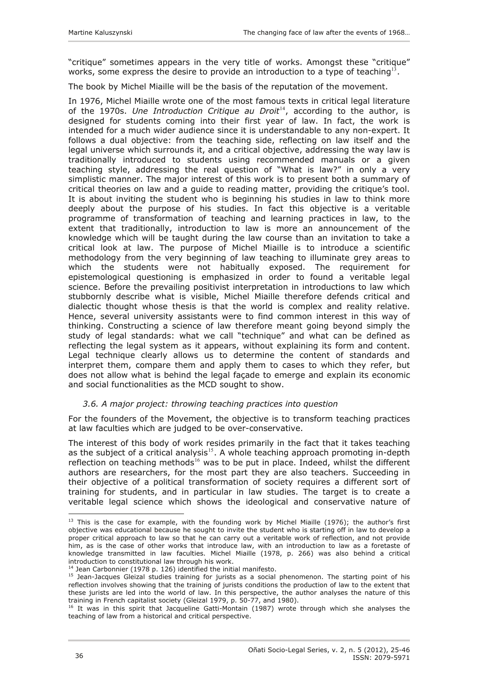<span id="page-11-0"></span>"critique" sometimes appears in the very title of works. Amongst these "critique" works, some express the desire to provide an introduction to a type of teaching<sup>[13](#page-11-1)</sup>.

The book by Michel Miaille will be the basis of the reputation of the movement.

In 1976, Michel Miaille wrote one of the most famous texts in critical legal literature of the 1970s. *Une Introduction Critique au Droit*<sup>[14](#page-11-2)</sup>, according to the author, is designed for students coming into their first year of law. In fact, the work is intended for a much wider audience since it is understandable to any non-expert. It follows a dual objective: from the teaching side, reflecting on law itself and the legal universe which surrounds it, and a critical objective, addressing the way law is traditionally introduced to students using recommended manuals or a given teaching style, addressing the real question of "What is law?" in only a very simplistic manner. The major interest of this work is to present both a summary of critical theories on law and a guide to reading matter, providing the critique's tool. It is about inviting the student who is beginning his studies in law to think more deeply about the purpose of his studies. In fact this objective is a veritable programme of transformation of teaching and learning practices in law, to the extent that traditionally, introduction to law is more an announcement of the knowledge which will be taught during the law course than an invitation to take a critical look at law. The purpose of Michel Miaille is to introduce a scientific methodology from the very beginning of law teaching to illuminate grey areas to which the students were not habitually exposed. The requirement for epistemological questioning is emphasized in order to found a veritable legal science. Before the prevailing positivist interpretation in introductions to law which stubbornly describe what is visible, Michel Miaille therefore defends critical and dialectic thought whose thesis is that the world is complex and reality relative. Hence, several university assistants were to find common interest in this way of thinking. Constructing a science of law therefore meant going beyond simply the study of legal standards: what we call "technique" and what can be defined as reflecting the legal system as it appears, without explaining its form and content. Legal technique clearly allows us to determine the content of standards and interpret them, compare them and apply them to cases to which they refer, but does not allow what is behind the legal façade to emerge and explain its economic and social functionalities as the MCD sought to show.

### *3.6. A major project: throwing teaching practices into question*

For the founders of the Movement, the objective is to transform teaching practices at law faculties which are judged to be over-conservative.

The interest of this body of work resides primarily in the fact that it takes teaching as the subject of a critical analysis $15$ . A whole teaching approach promoting in-depth reflection on teaching methods<sup>[16](#page-11-4)</sup> was to be put in place. Indeed, whilst the different authors are researchers, for the most part they are also teachers. Succeeding in their objective of a political transformation of society requires a different sort of training for students, and in particular in law studies. The target is to create a veritable legal science which shows the ideological and conservative nature of

<span id="page-11-1"></span> $\overline{a}$  $13$  This is the case for example, with the founding work by Michel Miaille (1976); the author's first objective was educational because he sought to invite the student who is starting off in law to develop a proper critical approach to law so that he can carry out a veritable work of reflection, and not provide him, as is the case of other works that introduce law, with an introduction to law as a foretaste of knowledge transmitted in law faculties. Michel Miaille (1978, p. 266) was also behind a critical introduction to constitutional law through his work.<br><sup>14</sup> Jean Carbonnier (1978 p. 126) identified the initial manifesto.

<span id="page-11-3"></span><span id="page-11-2"></span><sup>15</sup> Jean-Jacques Gleizal studies training for jurists as a social phenomenon. The starting point of his reflection involves showing that the training of jurists conditions the production of law to the extent that these jurists are led into the world of law. In this perspective, the author analyses the nature of this training in French capitalist society (Gleizal 1979, p. 50-77, and 1980).

<span id="page-11-4"></span><sup>&</sup>lt;sup>16</sup> It was in this spirit that Jacqueline Gatti-Montain (1987) wrote through which she analyses the teaching of law from a historical and critical perspective.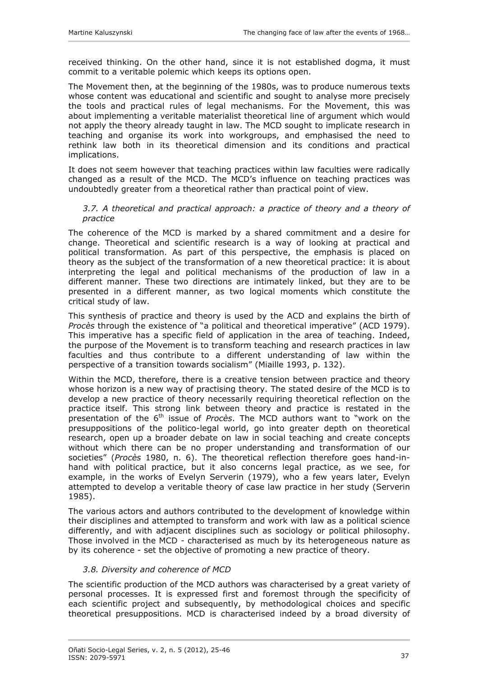<span id="page-12-0"></span>received thinking. On the other hand, since it is not established dogma, it must commit to a veritable polemic which keeps its options open.

The Movement then, at the beginning of the 1980s, was to produce numerous texts whose content was educational and scientific and sought to analyse more precisely the tools and practical rules of legal mechanisms. For the Movement, this was about implementing a veritable materialist theoretical line of argument which would not apply the theory already taught in law. The MCD sought to implicate research in teaching and organise its work into workgroups, and emphasised the need to rethink law both in its theoretical dimension and its conditions and practical implications.

It does not seem however that teaching practices within law faculties were radically changed as a result of the MCD. The MCD's influence on teaching practices was undoubtedly greater from a theoretical rather than practical point of view.

#### *3.7. A theoretical and practical approach: a practice of theory and a theory of practice*

The coherence of the MCD is marked by a shared commitment and a desire for change. Theoretical and scientific research is a way of looking at practical and political transformation. As part of this perspective, the emphasis is placed on theory as the subject of the transformation of a new theoretical practice: it is about interpreting the legal and political mechanisms of the production of law in a different manner. These two directions are intimately linked, but they are to be presented in a different manner, as two logical moments which constitute the critical study of law.

This synthesis of practice and theory is used by the ACD and explains the birth of *Procès* through the existence of "a political and theoretical imperative" (ACD 1979). This imperative has a specific field of application in the area of teaching. Indeed, the purpose of the Movement is to transform teaching and research practices in law faculties and thus contribute to a different understanding of law within the perspective of a transition towards socialism" (Miaille 1993, p. 132).

Within the MCD, therefore, there is a creative tension between practice and theory whose horizon is a new way of practising theory. The stated desire of the MCD is to develop a new practice of theory necessarily requiring theoretical reflection on the practice itself. This strong link between theory and practice is restated in the presentation of the 6th issue of *Procès*. The MCD authors want to "work on the presuppositions of the politico-legal world, go into greater depth on theoretical research, open up a broader debate on law in social teaching and create concepts without which there can be no proper understanding and transformation of our societies" (*Procès* 1980, n. 6). The theoretical reflection therefore goes hand-inhand with political practice, but it also concerns legal practice, as we see, for example, in the works of Evelyn Serverin (1979), who a few years later, Evelyn attempted to develop a veritable theory of case law practice in her study (Serverin 1985).

The various actors and authors contributed to the development of knowledge within their disciplines and attempted to transform and work with law as a political science differently, and with adjacent disciplines such as sociology or political philosophy. Those involved in the MCD - characterised as much by its heterogeneous nature as by its coherence - set the objective of promoting a new practice of theory.

## *3.8. Diversity and coherence of MCD*

The scientific production of the MCD authors was characterised by a great variety of personal processes. It is expressed first and foremost through the specificity of each scientific project and subsequently, by methodological choices and specific theoretical presuppositions. MCD is characterised indeed by a broad diversity of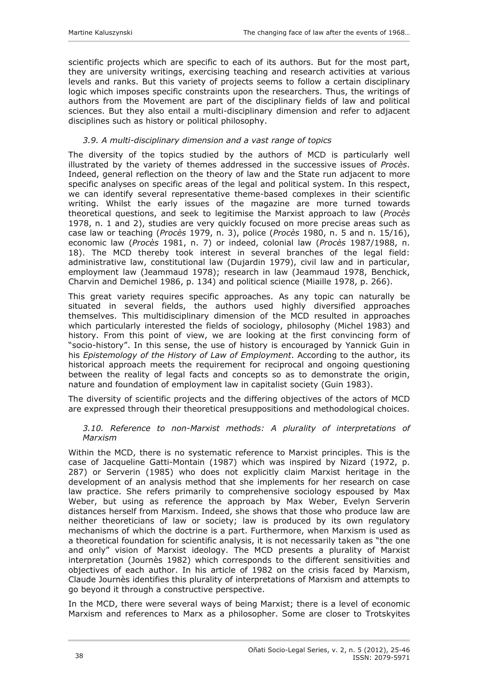<span id="page-13-0"></span>scientific projects which are specific to each of its authors. But for the most part, they are university writings, exercising teaching and research activities at various levels and ranks. But this variety of projects seems to follow a certain disciplinary logic which imposes specific constraints upon the researchers. Thus, the writings of authors from the Movement are part of the disciplinary fields of law and political sciences. But they also entail a multi-disciplinary dimension and refer to adjacent disciplines such as history or political philosophy.

### *3.9. A multi-disciplinary dimension and a vast range of topics*

The diversity of the topics studied by the authors of MCD is particularly well illustrated by the variety of themes addressed in the successive issues of *Procès*. Indeed, general reflection on the theory of law and the State run adjacent to more specific analyses on specific areas of the legal and political system. In this respect, we can identify several representative theme-based complexes in their scientific writing. Whilst the early issues of the magazine are more turned towards theoretical questions, and seek to legitimise the Marxist approach to law (*Procès*  1978, n. 1 and 2), studies are very quickly focused on more precise areas such as case law or teaching (*Procès* 1979, n. 3), police (*Procès* 1980, n. 5 and n. 15/16), economic law (*Procès* 1981, n. 7) or indeed, colonial law (*Procès* 1987/1988, n. 18). The MCD thereby took interest in several branches of the legal field: administrative law, constitutional law (Dujardin 1979), civil law and in particular, employment law (Jeammaud 1978); research in law (Jeammaud 1978, Benchick, Charvin and Demichel 1986, p. 134) and political science (Miaille 1978, p. 266).

This great variety requires specific approaches. As any topic can naturally be situated in several fields, the authors used highly diversified approaches themselves. This multidisciplinary dimension of the MCD resulted in approaches which particularly interested the fields of sociology, philosophy (Michel 1983) and history. From this point of view, we are looking at the first convincing form of "socio-history". In this sense, the use of history is encouraged by Yannick Guin in his *Epistemology of the History of Law of Employment*. According to the author, its historical approach meets the requirement for reciprocal and ongoing questioning between the reality of legal facts and concepts so as to demonstrate the origin, nature and foundation of employment law in capitalist society (Guin 1983).

The diversity of scientific projects and the differing objectives of the actors of MCD are expressed through their theoretical presuppositions and methodological choices.

#### *3.10. Reference to non-Marxist methods: A plurality of interpretations of Marxism*

Within the MCD, there is no systematic reference to Marxist principles. This is the case of Jacqueline Gatti-Montain (1987) which was inspired by Nizard (1972, p. 287) or Serverin (1985) who does not explicitly claim Marxist heritage in the development of an analysis method that she implements for her research on case law practice. She refers primarily to comprehensive sociology espoused by Max Weber, but using as reference the approach by Max Weber, Evelyn Serverin distances herself from Marxism. Indeed, she shows that those who produce law are neither theoreticians of law or society; law is produced by its own regulatory mechanisms of which the doctrine is a part. Furthermore, when Marxism is used as a theoretical foundation for scientific analysis, it is not necessarily taken as "the one and only" vision of Marxist ideology. The MCD presents a plurality of Marxist interpretation (Journès 1982) which corresponds to the different sensitivities and objectives of each author. In his article of 1982 on the crisis faced by Marxism, Claude Journès identifies this plurality of interpretations of Marxism and attempts to go beyond it through a constructive perspective.

In the MCD, there were several ways of being Marxist; there is a level of economic Marxism and references to Marx as a philosopher. Some are closer to Trotskyites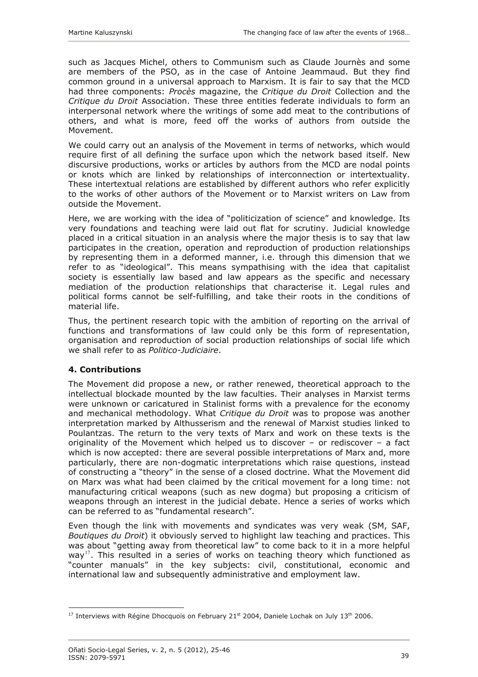<span id="page-14-0"></span>such as Jacques Michel, others to Communism such as Claude Journès and some are members of the PSO, as in the case of Antoine Jeammaud. But they find common ground in a universal approach to Marxism. It is fair to say that the MCD had three components: *Procès* magazine, the *Critique du Droit* Collection and the *Critique du Droit* Association. These three entities federate individuals to form an interpersonal network where the writings of some add meat to the contributions of others, and what is more, feed off the works of authors from outside the Movement.

We could carry out an analysis of the Movement in terms of networks, which would require first of all defining the surface upon which the network based itself. New discursive productions, works or articles by authors from the MCD are nodal points or knots which are linked by relationships of interconnection or intertextuality. These intertextual relations are established by different authors who refer explicitly to the works of other authors of the Movement or to Marxist writers on Law from outside the Movement.

Here, we are working with the idea of "politicization of science" and knowledge. Its very foundations and teaching were laid out flat for scrutiny. Judicial knowledge placed in a critical situation in an analysis where the major thesis is to say that law participates in the creation, operation and reproduction of production relationships by representing them in a deformed manner, i.e. through this dimension that we refer to as "ideological". This means sympathising with the idea that capitalist society is essentially law based and law appears as the specific and necessary mediation of the production relationships that characterise it. Legal rules and political forms cannot be self-fulfilling, and take their roots in the conditions of material life.

Thus, the pertinent research topic with the ambition of reporting on the arrival of functions and transformations of law could only be this form of representation, organisation and reproduction of social production relationships of social life which we shall refer to as *Politico-Judiciaire*.

### **4. Contributions**

The Movement did propose a new, or rather renewed, theoretical approach to the intellectual blockade mounted by the law faculties. Their analyses in Marxist terms were unknown or caricatured in Stalinist forms with a prevalence for the economy and mechanical methodology. What *Critique du Droit* was to propose was another interpretation marked by Althusserism and the renewal of Marxist studies linked to Poulantzas. The return to the very texts of Marx and work on these texts is the originality of the Movement which helped us to discover – or rediscover – a fact which is now accepted: there are several possible interpretations of Marx and, more particularly, there are non-dogmatic interpretations which raise questions, instead of constructing a "theory" in the sense of a closed doctrine. What the Movement did on Marx was what had been claimed by the critical movement for a long time: not manufacturing critical weapons (such as new dogma) but proposing a criticism of weapons through an interest in the judicial debate. Hence a series of works which can be referred to as "fundamental research".

Even though the link with movements and syndicates was very weak (SM, SAF, *Boutiques du Droit*) it obviously served to highlight law teaching and practices. This was about "getting away from theoretical law" to come back to it in a more helpful way<sup>[17](#page-14-1)</sup>. This resulted in a series of works on teaching theory which functioned as "counter manuals" in the key subjects: civil, constitutional, economic and international law and subsequently administrative and employment law.

<span id="page-14-1"></span> $\overline{a}$  $17$  Interviews with Régine Dhocquois on February 21<sup>st</sup> 2004, Daniele Lochak on July 13<sup>th</sup> 2006.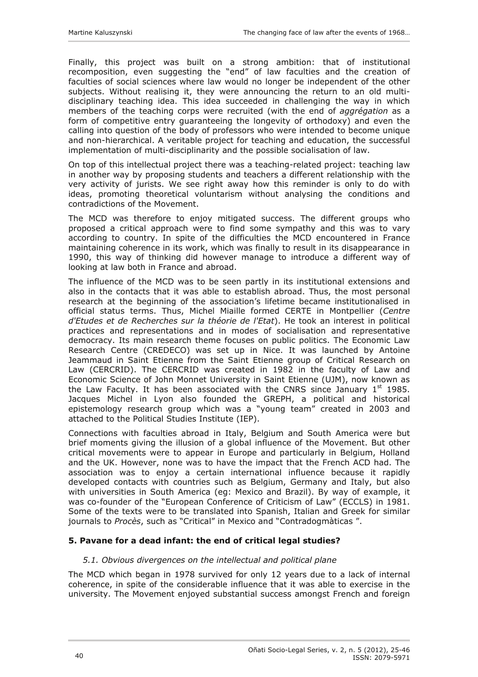<span id="page-15-0"></span>Finally, this project was built on a strong ambition: that of institutional recomposition, even suggesting the "end" of law faculties and the creation of faculties of social sciences where law would no longer be independent of the other subjects. Without realising it, they were announcing the return to an old multidisciplinary teaching idea. This idea succeeded in challenging the way in which members of the teaching corps were recruited (with the end of *aggrégation* as a form of competitive entry guaranteeing the longevity of orthodoxy) and even the calling into question of the body of professors who were intended to become unique and non-hierarchical. A veritable project for teaching and education, the successful implementation of multi-disciplinarity and the possible socialisation of law.

On top of this intellectual project there was a teaching-related project: teaching law in another way by proposing students and teachers a different relationship with the very activity of jurists. We see right away how this reminder is only to do with ideas, promoting theoretical voluntarism without analysing the conditions and contradictions of the Movement.

The MCD was therefore to enjoy mitigated success. The different groups who proposed a critical approach were to find some sympathy and this was to vary according to country. In spite of the difficulties the MCD encountered in France maintaining coherence in its work, which was finally to result in its disappearance in 1990, this way of thinking did however manage to introduce a different way of looking at law both in France and abroad.

The influence of the MCD was to be seen partly in its institutional extensions and also in the contacts that it was able to establish abroad. Thus, the most personal research at the beginning of the association's lifetime became institutionalised in official status terms. Thus, Michel Miaille formed CERTE in Montpellier (*Centre d'Etudes et de Recherches sur la théorie de l'Etat*). He took an interest in political practices and representations and in modes of socialisation and representative democracy. Its main research theme focuses on public politics. The Economic Law Research Centre (CREDECO) was set up in Nice. It was launched by Antoine Jeammaud in Saint Etienne from the Saint Etienne group of Critical Research on Law (CERCRID). The CERCRID was created in 1982 in the faculty of Law and Economic Science of John Monnet University in Saint Etienne (UJM), now known as the Law Faculty. It has been associated with the CNRS since January  $1<sup>st</sup>$  1985. Jacques Michel in Lyon also founded the GREPH, a political and historical epistemology research group which was a "young team" created in 2003 and attached to the Political Studies Institute (IEP).

Connections with faculties abroad in Italy, Belgium and South America were but brief moments giving the illusion of a global influence of the Movement. But other critical movements were to appear in Europe and particularly in Belgium, Holland and the UK. However, none was to have the impact that the French ACD had. The association was to enjoy a certain international influence because it rapidly developed contacts with countries such as Belgium, Germany and Italy, but also with universities in South America (eg: Mexico and Brazil). By way of example, it was co-founder of the "European Conference of Criticism of Law" (ECCLS) in 1981. Some of the texts were to be translated into Spanish, Italian and Greek for similar journals to *Procès*, such as "Critical" in Mexico and "Contradogmàticas ".

### **5. Pavane for a dead infant: the end of critical legal studies?**

### *5.1. Obvious divergences on the intellectual and political plane*

The MCD which began in 1978 survived for only 12 years due to a lack of internal coherence, in spite of the considerable influence that it was able to exercise in the university. The Movement enjoyed substantial success amongst French and foreign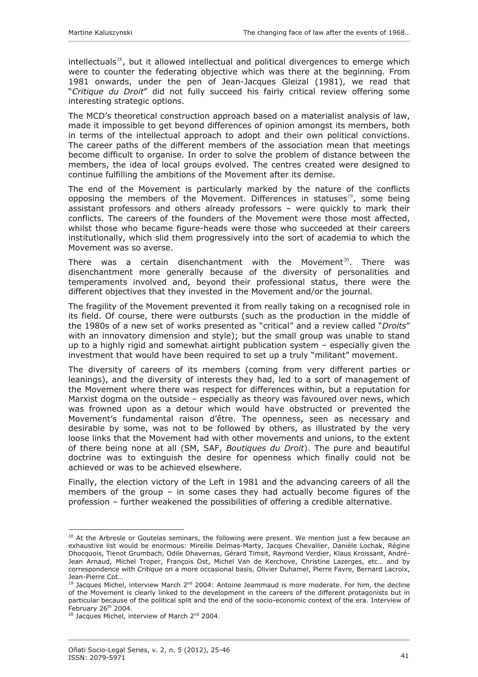$intellectuals<sup>18</sup>$  $intellectuals<sup>18</sup>$  $intellectuals<sup>18</sup>$ , but it allowed intellectual and political divergences to emerge which were to counter the federating objective which was there at the beginning. From 1981 onwards, under the pen of Jean-Jacques Gleizal (1981), we read that "*Critique du Droit*" did not fully succeed his fairly critical review offering some interesting strategic options.

The MCD's theoretical construction approach based on a materialist analysis of law, made it impossible to get beyond differences of opinion amongst its members, both in terms of the intellectual approach to adopt and their own political convictions. The career paths of the different members of the association mean that meetings become difficult to organise. In order to solve the problem of distance between the members, the idea of local groups evolved. The centres created were designed to continue fulfilling the ambitions of the Movement after its demise.

The end of the Movement is particularly marked by the nature of the conflicts opposing the members of the Movement. Differences in statuses<sup>[19](#page-16-1)</sup>, some being assistant professors and others already professors – were quickly to mark their conflicts. The careers of the founders of the Movement were those most affected, whilst those who became figure-heads were those who succeeded at their careers institutionally, which slid them progressively into the sort of academia to which the Movement was so averse.

There was a certain disenchantment with the Movement<sup>[20](#page-16-2)</sup>. There was disenchantment more generally because of the diversity of personalities and temperaments involved and, beyond their professional status, there were the different objectives that they invested in the Movement and/or the journal.

The fragility of the Movement prevented it from really taking on a recognised role in its field. Of course, there were outbursts (such as the production in the middle of the 1980s of a new set of works presented as "critical" and a review called "*Droits*" with an innovatory dimension and style); but the small group was unable to stand up to a highly rigid and somewhat airtight publication system – especially given the investment that would have been required to set up a truly "militant" movement.

The diversity of careers of its members (coming from very different parties or leanings), and the diversity of interests they had, led to a sort of management of the Movement where there was respect for differences within, but a reputation for Marxist dogma on the outside – especially as theory was favoured over news, which was frowned upon as a detour which would have obstructed or prevented the Movement's fundamental raison d'être. The openness, seen as necessary and desirable by some, was not to be followed by others, as illustrated by the very loose links that the Movement had with other movements and unions, to the extent of there being none at all (SM, SAF, *Boutiques du Droit*). The pure and beautiful doctrine was to extinguish the desire for openness which finally could not be achieved or was to be achieved elsewhere.

Finally, the election victory of the Left in 1981 and the advancing careers of all the members of the group – in some cases they had actually become figures of the profession – further weakened the possibilities of offering a credible alternative.

<span id="page-16-0"></span><sup>&</sup>lt;sup>18</sup> At the Arbresle or Goutelas seminars, the following were present. We mention just a few because an exhaustive list would be enormous: Mireille Delmas-Marty, Jacques Chevallier, Danièle Lochak, Régine Dhocquois, Tienot Grumbach, Odile Dhavernas, Gérard Timsit, Raymond Verdier, Klaus Kroissant, André-Jean Arnaud, Michel Troper, François Ost, Michel Van de Kerchove, Christine Lazerges, etc… and by correspondence with *Critique* on a more occasional basis, Olivier Duhamel, Pierre Favre, Bernard Lacroix, Jean-Pierre Cot…

<span id="page-16-1"></span> $19$  Jacques Michel, interview March  $2^{nd}$  2004: Antoine Jeammaud is more moderate. For him, the decline of the Movement is clearly linked to the development in the careers of the different protagonists but in particular because of the political split and the end of the socio-economic context of the era. Interview of particular 50000 of the political spint and the<br>February 26<sup>th</sup> 2004.<br><sup>20</sup> Jacques Michel, interview of March 2<sup>nd</sup> 2004.

<span id="page-16-2"></span>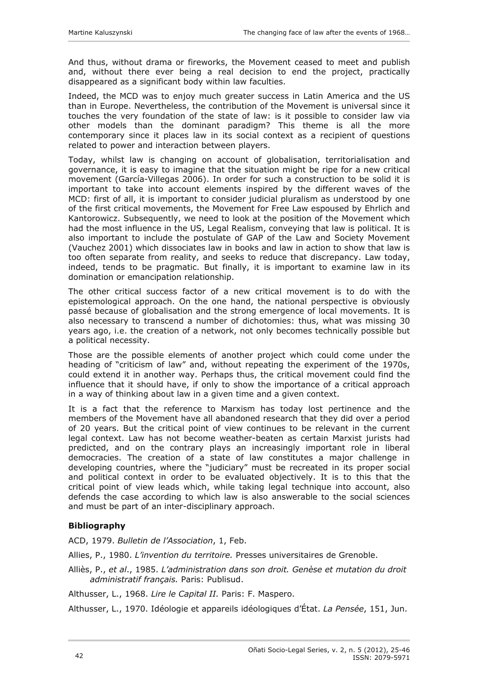<span id="page-17-0"></span>And thus, without drama or fireworks, the Movement ceased to meet and publish and, without there ever being a real decision to end the project, practically disappeared as a significant body within law faculties.

Indeed, the MCD was to enjoy much greater success in Latin America and the US than in Europe. Nevertheless, the contribution of the Movement is universal since it touches the very foundation of the state of law: is it possible to consider law via other models than the dominant paradigm? This theme is all the more contemporary since it places law in its social context as a recipient of questions related to power and interaction between players.

Today, whilst law is changing on account of globalisation, territorialisation and governance, it is easy to imagine that the situation might be ripe for a new critical movement (García-Villegas 2006). In order for such a construction to be solid it is important to take into account elements inspired by the different waves of the MCD: first of all, it is important to consider judicial pluralism as understood by one of the first critical movements, the Movement for Free Law espoused by Ehrlich and Kantorowicz. Subsequently, we need to look at the position of the Movement which had the most influence in the US, Legal Realism, conveying that law is political. It is also important to include the postulate of GAP of the Law and Society Movement (Vauchez 2001) which dissociates law in books and law in action to show that law is too often separate from reality, and seeks to reduce that discrepancy. Law today, indeed, tends to be pragmatic. But finally, it is important to examine law in its domination or emancipation relationship.

The other critical success factor of a new critical movement is to do with the epistemological approach. On the one hand, the national perspective is obviously passé because of globalisation and the strong emergence of local movements. It is also necessary to transcend a number of dichotomies: thus, what was missing 30 years ago, i.e. the creation of a network, not only becomes technically possible but a political necessity.

Those are the possible elements of another project which could come under the heading of "criticism of law" and, without repeating the experiment of the 1970s, could extend it in another way. Perhaps thus, the critical movement could find the influence that it should have, if only to show the importance of a critical approach in a way of thinking about law in a given time and a given context.

It is a fact that the reference to Marxism has today lost pertinence and the members of the Movement have all abandoned research that they did over a period of 20 years. But the critical point of view continues to be relevant in the current legal context. Law has not become weather-beaten as certain Marxist jurists had predicted, and on the contrary plays an increasingly important role in liberal democracies. The creation of a state of law constitutes a major challenge in developing countries, where the "judiciary" must be recreated in its proper social and political context in order to be evaluated objectively. It is to this that the critical point of view leads which, while taking legal technique into account, also defends the case according to which law is also answerable to the social sciences and must be part of an inter-disciplinary approach.

## **Bibliography**

ACD, 1979. *Bulletin de l'Association*, 1, Feb.

Allies, P., 1980. *L'invention du territoire.* Presses universitaires de Grenoble.

Alliès, P., *et al*., 1985. *L'administration dans son droit. Genèse et mutation du droit administratif français.* Paris: Publisud.

Althusser, L., 1968. *Lire le Capital II.* Paris: F. Maspero.

Althusser, L., 1970. Idéologie et appareils idéologiques d'État. *La Pensée*, 151, Jun.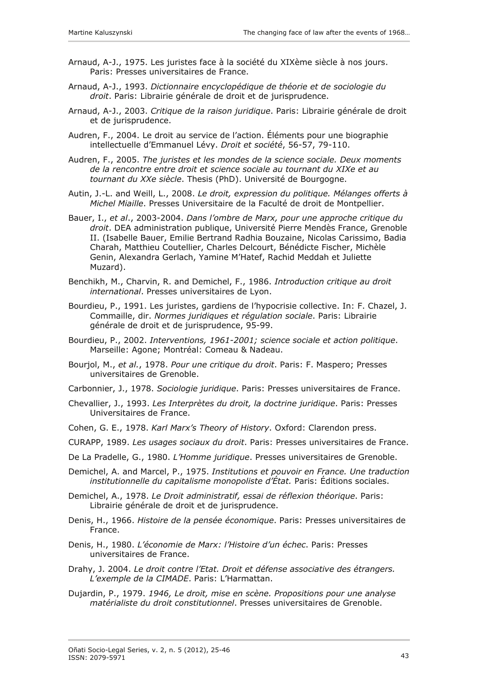- Arnaud, A-J., 1975. Les juristes face à la société du XIXème siècle à nos jours. Paris: Presses universitaires de France.
- Arnaud, A-J., 1993. *Dictionnaire encyclopédique de théorie et de sociologie du droit*. Paris: Librairie générale de droit et de jurisprudence.
- Arnaud, A-J., 2003. *Critique de la raison juridique*. Paris: Librairie générale de droit et de jurisprudence.
- Audren, F., 2004. Le droit au service de l'action. Éléments pour une biographie intellectuelle d'Emmanuel Lévy. *Droit et société*, 56-57, 79-110.
- Audren, F., 2005. *The juristes et les mondes de la science sociale. Deux moments de la rencontre entre droit et science sociale au tournant du XIXe et au tournant du XXe siècle*. Thesis (PhD). Université de Bourgogne.
- Autin, J.-L. and Weill, L., 2008. *Le droit, expression du politique. Mélanges offerts à Michel Miaille*. Presses Universitaire de la Faculté de droit de Montpellier.
- Bauer, I., *et al*., 2003-2004. *Dans l'ombre de Marx, pour une approche critique du droit*. DEA administration publique, Université Pierre Mendès France, Grenoble II. (Isabelle Bauer, Emilie Bertrand Radhia Bouzaine, Nicolas Carissimo, Badia Charah, Matthieu Coutellier, Charles Delcourt, Bénédicte Fischer, Michèle Genin, Alexandra Gerlach, Yamine M'Hatef, Rachid Meddah et Juliette Muzard).
- Benchikh, M., Charvin, R. and Demichel, F., 1986. *Introduction critique au droit international*. Presses universitaires de Lyon.
- Bourdieu, P., 1991. Les juristes, gardiens de l'hypocrisie collective. In: F. Chazel, J. Commaille, dir. *Normes juridiques et régulation sociale*. Paris: Librairie générale de droit et de jurisprudence, 95-99.
- Bourdieu, P., 2002. *Interventions, 1961-2001; science sociale et action politique*. Marseille: Agone; Montréal: Comeau & Nadeau.
- Bourjol, M., *et al.*, 1978. *Pour une critique du droit*. Paris: F. Maspero; Presses universitaires de Grenoble.
- Carbonnier, J., 1978. *Sociologie juridique*. Paris: Presses universitaires de France.
- Chevallier, J., 1993. *Les Interprètes du droit, la doctrine juridique*. Paris: Presses Universitaires de France.
- Cohen, G. E., 1978. *Karl Marx's Theory of History*. Oxford: Clarendon press.
- CURAPP, 1989. *Les usages sociaux du droit*. Paris: Presses universitaires de France.
- De La Pradelle, G., 1980. *L'Homme juridique*. Presses universitaires de Grenoble.
- Demichel, A. and Marcel, P., 1975. *Institutions et pouvoir en France. Une traduction institutionnelle du capitalisme monopoliste d'État.* Paris: Éditions sociales.
- Demichel, A., 1978. *Le Droit administratif, essai de réflexion théorique*. Paris: Librairie générale de droit et de jurisprudence.
- Denis, H., 1966. *Histoire de la pensée économique*. Paris: Presses universitaires de France.
- Denis, H., 1980. *L'économie de Marx: l'Histoire d'un échec*. Paris: Presses universitaires de France.
- Drahy, J. 2004. *Le droit contre l'Etat. Droit et défense associative des étrangers. L'exemple de la CIMADE*. Paris: L'Harmattan.
- Dujardin, P., 1979. *1946, Le droit, mise en scène. Propositions pour une analyse matérialiste du droit constitutionnel*. Presses universitaires de Grenoble.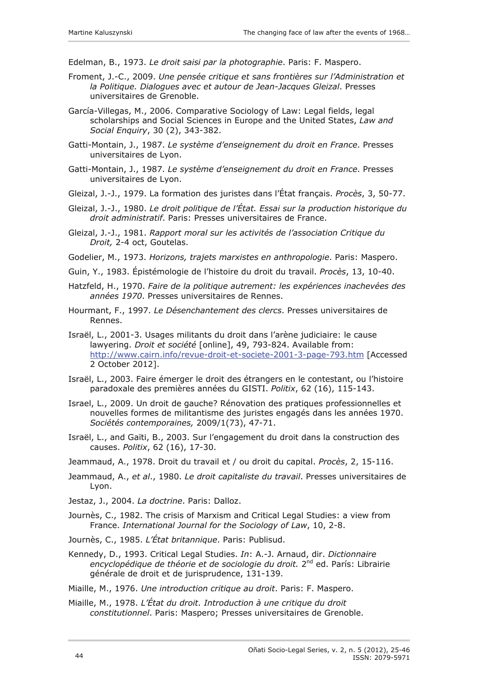Edelman, B., 1973. *Le droit saisi par la photographie*. Paris: F. Maspero.

- Froment, J.-C., 2009. *Une pensée critique et sans frontières sur l'Administration et la Politique. Dialogues avec et autour de Jean-Jacques Gleizal*. Presses universitaires de Grenoble.
- García-Villegas, M., 2006. Comparative Sociology of Law: Legal fields, legal scholarships and Social Sciences in Europe and the United States, *Law and Social Enquiry*, 30 (2), 343-382.
- Gatti-Montain, J., 1987. *Le système d'enseignement du droit en France*. Presses universitaires de Lyon.
- Gatti-Montain, J., 1987. *Le système d'enseignement du droit en France*. Presses universitaires de Lyon.
- Gleizal, J.-J., 1979. La formation des juristes dans l'État français. *Procès*, 3, 50-77.
- Gleizal, J.-J., 1980. *Le droit politique de l'État. Essai sur la production historique du droit administratif*. Paris: Presses universitaires de France.
- Gleizal, J.-J., 1981. *Rapport moral sur les activités de l'association Critique du Droit,* 2-4 oct, Goutelas.
- Godelier, M., 1973. *Horizons, trajets marxistes en anthropologie*. Paris: Maspero.
- Guin, Y., 1983. Épistémologie de l'histoire du droit du travail. *Procès*, 13, 10-40.
- Hatzfeld, H., 1970. *Faire de la politique autrement: les expériences inachevées des années 1970*. Presses universitaires de Rennes.
- Hourmant, F., 1997. *Le Désenchantement des clercs*. Presses universitaires de Rennes.
- Israël, L., 2001-3. Usages militants du droit dans l'arène judiciaire: le cause lawyering. *Droit et société* [online], 49, 793-824. Available from: <http://www.cairn.info/revue-droit-et-societe-2001-3-page-793.htm> [Accessed 2 October 2012].
- Israël, L., 2003. Faire émerger le droit des étrangers en le contestant, ou l'histoire paradoxale des premières années du GISTI. *Politix*, 62 (16), 115-143.
- Israel, L., 2009. Un droit de gauche? Rénovation des pratiques professionnelles et nouvelles formes de militantisme des juristes engagés dans les années 1970. *Sociétés contemporaines,* 2009/1(73), 47-71.
- Israël, L., and Gaïti, B., 2003. Sur l'engagement du droit dans la construction des causes. *Politix*, 62 (16), 17-30.
- Jeammaud, A., 1978. Droit du travail et / ou droit du capital. *Procès*, 2, 15-116.
- Jeammaud, A., *et al*., 1980. *Le droit capitaliste du travail*. Presses universitaires de Lyon.
- Jestaz, J., 2004. *La doctrine*. Paris: Dalloz.
- Journès, C., 1982. The crisis of Marxism and Critical Legal Studies: a view from France. *International Journal for the Sociology of Law*, 10, 2-8.
- Journès, C., 1985. *L'État britannique*. Paris: Publisud.
- Kennedy, D., 1993. Critical Legal Studies. *In*: A.-J. Arnaud, dir. *Dictionnaire*  encyclopédique de théorie et de sociologie du droit. 2<sup>nd</sup> ed. París: Librairie générale de droit et de jurisprudence, 131-139.

Miaille, M., 1976. *Une introduction critique au droit*. Paris: F. Maspero.

Miaille, M., 1978. *L'État du droit. Introduction à une critique du droit constitutionnel*. Paris: Maspero; Presses universitaires de Grenoble.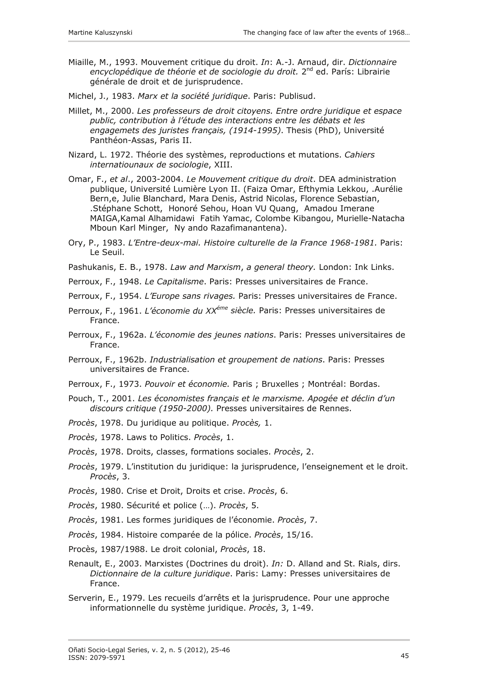- Miaille, M., 1993. Mouvement critique du droit. *In*: A.-J. Arnaud, dir. *Dictionnaire encyclopédique de théorie et de sociologie du droit.* 2nd ed. París: Librairie générale de droit et de jurisprudence.
- Michel, J., 1983. *Marx et la société juridique*. Paris: Publisud.
- Millet, M., 2000. *Les professeurs de droit citoyens. Entre ordre juridique et espace public, contribution à l'étude des interactions entre les débats et les engagemets des juristes français, (1914-1995)*. Thesis (PhD), Université Panthéon-Assas, Paris II.
- Nizard, L. 1972. Théorie des systèmes, reproductions et mutations. *Cahiers internatiounaux de sociologie*, XIII.
- Omar, F., *et al*., 2003-2004. *Le Mouvement critique du droit*. DEA administration publique, Université Lumière Lyon II. (Faiza Omar, Efthymia Lekkou, .Aurélie Bern,e, Julie Blanchard, Mara Denis, Astrid Nicolas, Florence Sebastian, .Stéphane Schott, Honoré Sehou, Hoan VU Quang, Amadou Imerane MAIGA,Kamal Alhamidawi Fatih Yamac, Colombe Kibangou, Murielle-Natacha Mboun Karl Minger, Ny ando Razafimanantena).
- Ory, P., 1983. *L'Entre-deux-mai. Histoire culturelle de la France 1968-1981.* Paris: Le Seuil.
- Pashukanis, E. B., 1978. *Law and Marxism*, *a general theory.* London: Ink Links.
- Perroux, F., 1948. *Le Capitalisme*. Paris: Presses universitaires de France.
- Perroux, F., 1954. *L'Europe sans rivages.* Paris: Presses universitaires de France.
- Perroux, F., 1961. *L'économie du XXéme siècle.* Paris: Presses universitaires de France.
- Perroux, F., 1962a. *L'économie des jeunes nations*. Paris: Presses universitaires de France.
- Perroux, F., 1962b. *Industrialisation et groupement de nations*. Paris: Presses universitaires de France.
- Perroux, F., 1973. *Pouvoir et économie.* Paris ; Bruxelles ; Montréal: Bordas.
- Pouch, T., 2001. *Les économistes français et le marxisme. Apogée et déclin d'un discours critique (1950-2000).* Presses universitaires de Rennes.
- *Procès*, 1978. Du juridique au politique. *Procès,* 1.
- *Procès*, 1978. Laws to Politics. *Procès*, 1.
- *Procès*, 1978. Droits, classes, formations sociales. *Procès*, 2.
- *Procès*, 1979. L'institution du juridique: la jurisprudence, l'enseignement et le droit. *Procès*, 3.
- *Procès*, 1980. Crise et Droit, Droits et crise. *Procès*, 6.
- *Procès*, 1980. Sécurité et police (…). *Procès*, 5.
- *Procès*, 1981. Les formes juridiques de l'économie. *Procès*, 7.
- *Procès*, 1984. Histoire comparée de la pólice. *Procès*, 15/16.
- Procès, 1987/1988. Le droit colonial, *Procès*, 18.
- Renault, E., 2003. Marxistes (Doctrines du droit). *In:* D. Alland and St. Rials, dirs. *Dictionnaire de la culture juridique*. Paris: Lamy: Presses universitaires de France.
- Serverin, E., 1979. Les recueils d'arrêts et la jurisprudence. Pour une approche informationnelle du système juridique. *Procès*, 3, 1-49.